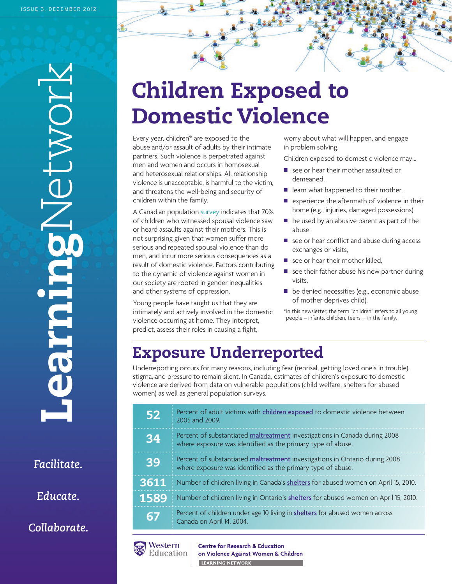**Learning**Network IOMJE turiese

*Facilitate.*

*Educate.*

*Collaborate.*

## **Children Exposed to Domestic Violence**

Every year, children\* are exposed to the abuse and/or assault of adults by their intimate partners. Such violence is perpetrated against men and women and occurs in homosexual and heterosexual relationships. All relationship violence is unacceptable, is harmful to the victim, and threatens the well-being and security of children within the family.

A Canadian populati[on survey](http://publications.gc.ca/Collection-R/Statcan/85-002-XIE/0060185-002-XIE.pdf?) indicates that 70% of children who witnessed spousal violence saw or heard assaults against their mothers. This is not surprising given that women suffer more serious and repeated spousal violence than do men, and incur more serious consequences as a result of domestic violence. Factors contributing to the dynamic of violence against women in our society are rooted in gender inequalities and other systems of oppression.

Young people have taught us that they are intimately and actively involved in the domestic violence occurring at home. They interpret, predict, assess their roles in causing a fight,

worry about what will happen, and engage in problem solving.

Children exposed to domestic violence may…

- $\blacksquare$  see or hear their mother assaulted or demeaned,
- $\blacksquare$  learn what happened to their mother,
- $\blacksquare$  experience the aftermath of violence in their home (e.g., injuries, damaged possessions),
- $\blacksquare$  be used by an abusive parent as part of the abuse,
- $\blacksquare$  see or hear conflict and abuse during access exchanges or visits,
- $\blacksquare$  see or hear their mother killed,
- $\blacksquare$  see their father abuse his new partner during visits,
- $\blacksquare$  be denied necessities (e.g., economic abuse of mother deprives child).

\*In this newsletter, the term "children" refers to all young people – infants, children, teens -- in the family.

### **Exposure Underreported**

Underreporting occurs for many reasons, including fear (reprisal, getting loved one's in trouble), stigma, and pressure to remain silent. In Canada, estimates of children's exposure to domestic violence are derived from data on vulnerable populations (child welfare, shelters for abused women) as well as general population surveys.

| 52   | Percent of adult victims with children exposed to domestic violence between<br>2005 and 2009.                                              |
|------|--------------------------------------------------------------------------------------------------------------------------------------------|
| 34   | Percent of substantiated maltreatment investigations in Canada during 2008<br>where exposure was identified as the primary type of abuse.  |
| 39   | Percent of substantiated maltreatment investigations in Ontario during 2008<br>where exposure was identified as the primary type of abuse. |
| 3611 | Number of children living in Canada's shelters for abused women on April 15, 2010.                                                         |
| 1589 | Number of children living in Ontario's shelters for abused women on April 15, 2010.                                                        |
|      | Percent of children under age 10 living in shelters for abused women across<br>Canada on April 14, 2004.                                   |
|      |                                                                                                                                            |



**Centre for Research & Education** on Violence Against Women & Children LEARNING NETWORK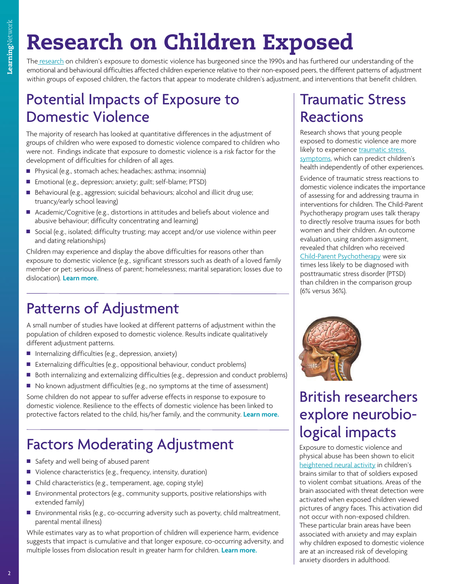## **Research on Children Exposed**

T[he research](http://www.learningtoendabuse.ca/sites/default/files/Graph_Children_Exposed.pdf) on children's exposure to domestic violence has burgeoned since the 1990s and has furthered our understanding of the emotional and behavioural difficulties affected children experience relative to their non-exposed peers, the different patterns of adjustment within groups of exposed children, the factors that appear to moderate children's adjustment, and interventions that benefit children.

#### Potential Impacts of Exposure to Domestic Violence

The majority of research has looked at quantitative differences in the adjustment of groups of children who were exposed to domestic violence compared to children who were not. Findings indicate that exposure to domestic violence is a risk factor for the development of difficulties for children of all ages.

- Physical (e.g., stomach aches; headaches; asthma; insomnia)
- Emotional (e.g., depression; anxiety; guilt; self-blame; PTSD)
- Behavioural (e.g., aggression; suicidal behaviours; alcohol and illicit drug use; truancy/early school leaving)
- Academic/Cognitive (e.g., distortions in attitudes and beliefs about violence and abusive behaviour; difficulty concentrating and learning)
- Social (e.g., isolated; difficulty trusting; may accept and/or use violence within peer and dating relationships)

Children may experience and display the above difficulties for reasons other than exposure to domestic violence (e.g., significant stressors such as death of a loved family member or pet; serious illness of parent; homelessness; marital separation; losses due to dislocation). **[Learn more.](http://www.phac-aspc.gc.ca/ncfv-cnivf/sources/fem/fem-2007-lele-pypo/pdf/fem-2007-lele-pypo-eng.pdf)**

#### Patterns of Adjustment

A small number of studies have looked at different patterns of adjustment within the population of children exposed to domestic violence. Results indicate qualitatively different adjustment patterns.

- $\blacksquare$  Internalizing difficulties (e.g., depression, anxiety)
- Externalizing difficulties (e.g., oppositional behaviour, conduct problems)
- Both internalizing and externalizing difficulties (e.g., depression and conduct problems)
- $\blacksquare$  No known adjustment difficulties (e.g., no symptoms at the time of assessment)

Some children do not appear to suffer adverse effects in response to exposure to domestic violence. Resilience to the effects of domestic violence has been linked to protective factors related to the child, his/her family, and the community. **[Learn more.](http://www.wolvesscb.org.uk/files/useful_links_and_publications/RIP%20-%20Children%20Experiencing%20Domestic%20Violence%20A%20Research%20Review.pdf)**

#### Factors Moderating Adjustment

- safety and well being of abused parent
- Violence characteristics (e.g., frequency, intensity, duration)
- Child characteristics (e.g., temperament, age, coping style)
- Environmental protectors (e.g., community supports, positive relationships with extended family)
- Environmental risks (e.g., co-occurring adversity such as poverty, child maltreatment, parental mental illness)

While estimates vary as to what proportion of children will experience harm, evidence suggests that impact is cumulative and that longer exposure, co-occurring adversity, and multiple losses from dislocation result in greater harm for children. **[Learn more.](http://www.lfcc.on.ca/what_about_me.pdf)**

### Traumatic Stress Reactions

Research shows that young people exposed to domestic violence are more likely to experienc[e traumatic stress](http://www.wolvesscb.org.uk/files/useful_links_and_publications/RIP%20-%20Children%20Experiencing%20Domestic%20Violence%20A%20Research%20Review.pdf)  [symptoms, w](http://www.wolvesscb.org.uk/files/useful_links_and_publications/RIP%20-%20Children%20Experiencing%20Domestic%20Violence%20A%20Research%20Review.pdf)hich can predict children's health independently of other experiences.

Evidence of traumatic stress reactions to domestic violence indicates the importance of assessing for and addressing trauma in interventions for children. The Child-Parent Psychotherapy program uses talk therapy to directly resolve trauma issues for both women and their children. An outcome evaluation, using random assignment, revealed that children who received [Child-Parent Psychotherapy](http://www.childhealthpolicy.sfu.ca/research_quarterly_08/rq-pdf/RQ-4-12-Fall.pdf) were six times less likely to be diagnosed with posttraumatic stress disorder (PTSD) than children in the comparison group (6% versus 36%).



### British researchers explore neurobiological impacts

Exposure to domestic violence and physical abuse has been shown to elicit heightened neural activity in children's [brains similar to that of soldiers](http://www.annafreud.org/news.php/77/maltreated-children-show-same-pattern-of-brain-activity-as-combat-soldiers) exposed to violent combat situations. Areas of the brain associated with threat detection were activated when exposed children viewed pictures of angry faces. This activation did not occur with non-exposed children. These particular brain areas have been associated with anxiety and may explain why children exposed to domestic violence are at an increased risk of developing anxiety disorders in adulthood.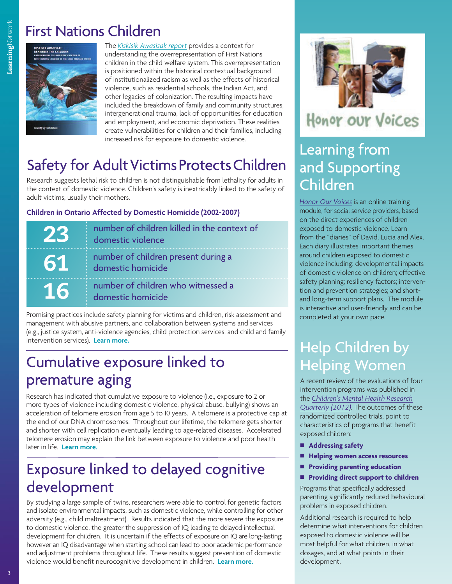#### First Nations Children



The *[Kiskisik Awasisak report](http://cwrp.ca/sites/default/files/publications/en/FNCIS-2008_March2012_RevisedFinal.pdf)* provides a context for understanding the overrepresentation of First Nations children in the child welfare system. This overrepresentation is positioned within the historical contextual background of institutionalized racism as well as the effects of historical violence, such as residential schools, the Indian Act, and other legacies of colonization. The resulting impacts have included the breakdown of family and community structures, intergenerational trauma, lack of opportunities for education and employment, and economic deprivation. These realities create vulnerabilities for children and their families, including increased risk for exposure to domestic violence.

#### **Safety for Adult Victims Protects Children**

Research suggests lethal risk to children is not distinguishable from lethality for adults in the context of domestic violence. Children's safety is inextricably linked to the safety of adult victims, usually their mothers.

**Children in Ontario Affected by Domestic Homicide (2002-2007)**

|    | number of children killed in the context of<br>domestic violence |
|----|------------------------------------------------------------------|
| 61 | number of children present during a<br>domestic homicide         |
| 16 | number of children who witnessed a<br>domestic homicide          |

Promising practices include safety planning for victims and children, risk assessment and management with abusive partners, and collaboration between systems and services (e.g., justice system, anti-violence agencies, child protection services, and child and family intervention services). **[Learn more.](http://www.learningtoendabuse.ca/sites/default/files/Children_in_Danger_of_Domestic_Homicide_0.pdf)**

#### Cumulative exposure linked to premature aging

Research has indicated that cumulative exposure to violence (i.e., exposure to 2 or more types of violence including domestic violence, physical abuse, bullying) shows an acceleration of telomere erosion from age 5 to 10 years. A telomere is a protective cap at the end of our DNA chromosomes. Throughout our lifetime, the telomere gets shorter and shorter with cell replication eventually leading to age-related diseases. Accelerated telomere erosion may explain the link between exposure to violence and poor health later in life. **[Learn more.](http://www.learningtoendabuse.ca/sites/default/files/Exposure_DV_Effect_Children_Brain_Development_Functioning_0.pdf)**

#### Exposure linked to delayed cognitive development

By studying a large sample of twins, researchers were able to control for genetic factors and isolate environmental impacts, such as domestic violence, while controlling for other adversity (e.g., child maltreatment). Results indicated that the more severe the exposure to domestic violence, the greater the suppression of IQ leading to delayed intellectual development for children. It is uncertain if the effects of exposure on IQ are long-lasting; however an IQ disadvantage when starting school can lead to poor academic performance and adjustment problems throughout life. These results suggest prevention of domestic violence would benefit neurocognitive development in children. **[Learn more.](http://www.learningtoendabuse.ca/sites/default/files/Exposure_DV_Effect_Children_Brain_Development_Functioning_0.pdf)**



### Honor our Voices

#### Learning from and Supporting Children

*[Honor Our Voices](http://www.honorourvoices.org/)* is an online training module, for social service providers, based on the direct experiences of children exposed to domestic violence. Learn from the "diaries" of David, Lucia and Alex. Each diary illustrates important themes around children exposed to domestic violence including: developmental impacts of domestic violence on children; effective safety planning; resiliency factors; intervention and prevention strategies; and shortand long-term support plans. The module is interactive and user-friendly and can be completed at your own pace.

### Help Children by Helping Women

A recent review of the evaluations of four intervention programs was published in the *[Children's Mental Health Research](http://www.childhealthpolicy.sfu.ca/research_quarterly_08/rq-pdf/RQ-4-12-Fall.pdf) Quarterly (2012)*. The outcomes of these randomized controlled trials, point to characteristics of programs that benefit exposed children:

- Addressing safety
- $\blacksquare$  Helping women access resources
- **n** Providing parenting education
- **n** Providing direct support to children

Programs that specifically addressed parenting significantly reduced behavioural problems in exposed children.

Additional research is required to help determine what interventions for children exposed to domestic violence will be most helpful for what children, in what dosages, and at what points in their development.